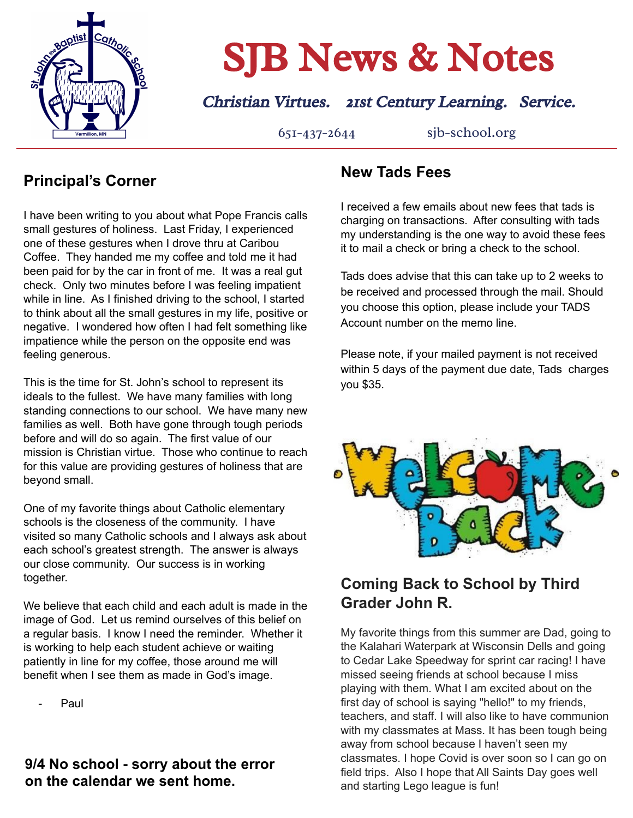

# **SJB News & Notes**

## Christian Virtues. 21st Century Learning. Service.

651-437-2644 sjb-school.org

## **Principal's Corner**

I have been writing to you about what Pope Francis calls small gestures of holiness. Last Friday, I experienced one of these gestures when I drove thru at Caribou Coffee. They handed me my coffee and told me it had been paid for by the car in front of me. It was a real gut check. Only two minutes before I was feeling impatient while in line. As I finished driving to the school, I started to think about all the small gestures in my life, positive or negative. I wondered how often I had felt something like impatience while the person on the opposite end was feeling generous.

This is the time for St. John's school to represent its ideals to the fullest. We have many families with long standing connections to our school. We have many new families as well. Both have gone through tough periods before and will do so again. The first value of our mission is Christian virtue. Those who continue to reach for this value are providing gestures of holiness that are beyond small.

One of my favorite things about Catholic elementary schools is the closeness of the community. I have visited so many Catholic schools and I always ask about each school's greatest strength. The answer is always our close community. Our success is in working together.

We believe that each child and each adult is made in the image of God. Let us remind ourselves of this belief on a regular basis. I know I need the reminder. Whether it is working to help each student achieve or waiting patiently in line for my coffee, those around me will benefit when I see them as made in God's image.

Paul.

### **9/4 No school - sorry about the error on the calendar we sent home.**

## **New Tads Fees**

I received a few emails about new fees that tads is charging on transactions. After consulting with tads my understanding is the one way to avoid these fees it to mail a check or bring a check to the school.

Tads does advise that this can take up to 2 weeks to be received and processed through the mail. Should you choose this option, please include your TADS Account number on the memo line.

Please note, if your mailed payment is not received within 5 days of the payment due date, Tads charges you \$35.



## **Coming Back to School by Third Grader John R.**

My favorite things from this summer are Dad, going to the Kalahari Waterpark at Wisconsin Dells and going to Cedar Lake Speedway for sprint car racing! I have missed seeing friends at school because I miss playing with them. What I am excited about on the first day of school is saying "hello!" to my friends, teachers, and staff. I will also like to have communion with my classmates at Mass. It has been tough being away from school because I haven't seen my classmates. I hope Covid is over soon so I can go on field trips. Also I hope that All Saints Day goes well and starting Lego league is fun!